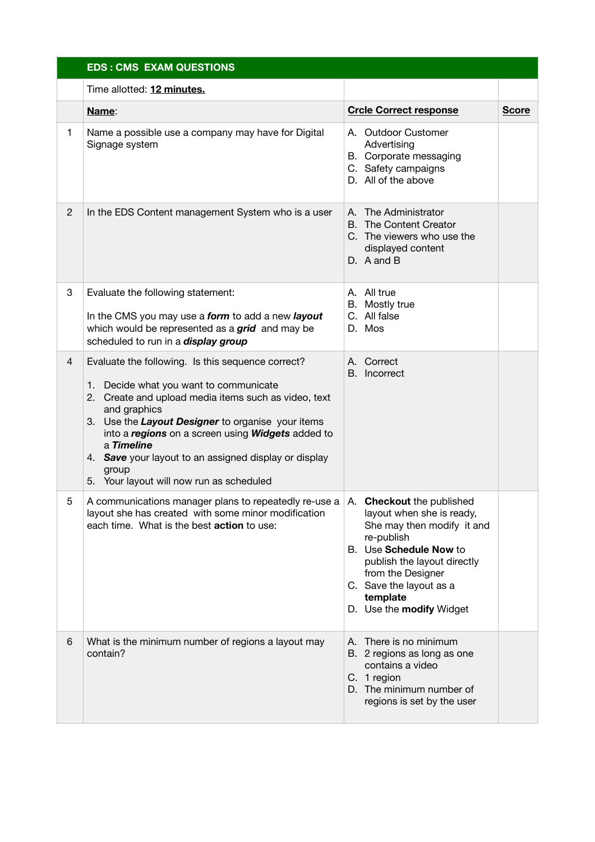|                | <b>EDS: CMS EXAM QUESTIONS</b>                                                                                                                                                                                                                                                                                                                                                                            |                                                                                                                                                                                                                        |              |  |  |
|----------------|-----------------------------------------------------------------------------------------------------------------------------------------------------------------------------------------------------------------------------------------------------------------------------------------------------------------------------------------------------------------------------------------------------------|------------------------------------------------------------------------------------------------------------------------------------------------------------------------------------------------------------------------|--------------|--|--|
|                | Time allotted: 12 minutes.                                                                                                                                                                                                                                                                                                                                                                                |                                                                                                                                                                                                                        |              |  |  |
|                | Name:                                                                                                                                                                                                                                                                                                                                                                                                     | <b>Crcle Correct response</b>                                                                                                                                                                                          | <b>Score</b> |  |  |
| 1              | Name a possible use a company may have for Digital<br>Signage system                                                                                                                                                                                                                                                                                                                                      | A. Outdoor Customer<br>Advertising<br>B. Corporate messaging<br>C. Safety campaigns<br>D. All of the above                                                                                                             |              |  |  |
| $\mathbf{2}$   | In the EDS Content management System who is a user                                                                                                                                                                                                                                                                                                                                                        | A. The Administrator<br>B. The Content Creator<br>C. The viewers who use the<br>displayed content<br>D. A and B                                                                                                        |              |  |  |
| 3              | Evaluate the following statement:<br>In the CMS you may use a form to add a new layout<br>which would be represented as a grid and may be<br>scheduled to run in a <i>display group</i>                                                                                                                                                                                                                   | A. All true<br>B. Mostly true<br>C. All false<br>D. Mos                                                                                                                                                                |              |  |  |
| $\overline{4}$ | Evaluate the following. Is this sequence correct?<br>1. Decide what you want to communicate<br>2. Create and upload media items such as video, text<br>and graphics<br>3. Use the Layout Designer to organise your items<br>into a regions on a screen using Widgets added to<br>a Timeline<br>4. Save your layout to an assigned display or display<br>group<br>5. Your layout will now run as scheduled | A. Correct<br>B. Incorrect                                                                                                                                                                                             |              |  |  |
| 5              | A communications manager plans to repeatedly re-use $a \mid A$ . <b>Checkout</b> the published<br>layout she has created with some minor modification<br>each time. What is the best <b>action</b> to use:                                                                                                                                                                                                | layout when she is ready,<br>She may then modify it and<br>re-publish<br>B. Use Schedule Now to<br>publish the layout directly<br>from the Designer<br>C. Save the layout as a<br>template<br>D. Use the modify Widget |              |  |  |
| 6              | What is the minimum number of regions a layout may<br>contain?                                                                                                                                                                                                                                                                                                                                            | A. There is no minimum<br>B. 2 regions as long as one<br>contains a video<br>C. 1 region<br>D. The minimum number of<br>regions is set by the user                                                                     |              |  |  |